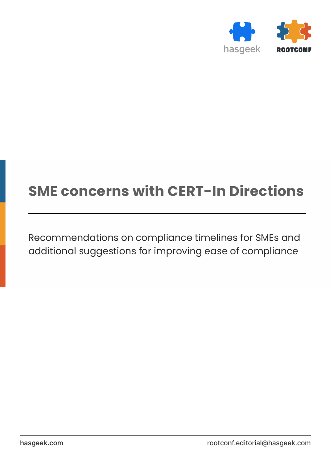

# **SME concerns with CERT-In Directions**

Recommendations on compliance timelines for SMEs and additional suggestions for improving ease of compliance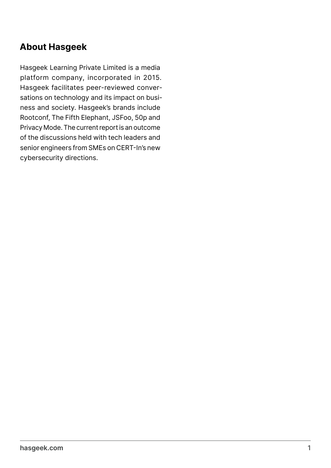### **About Hasgeek**

Hasgeek Learning Private Limited is a media platform company, incorporated in 2015. Hasgeek facilitates peer-reviewed conversations on technology and its impact on business and society. Hasgeek's brands include Rootconf, The Fifth Elephant, JSFoo, 50p and Privacy Mode. The current report is an outcome of the discussions held with tech leaders and senior engineers from SMEs on CERT-In's new cybersecurity directions.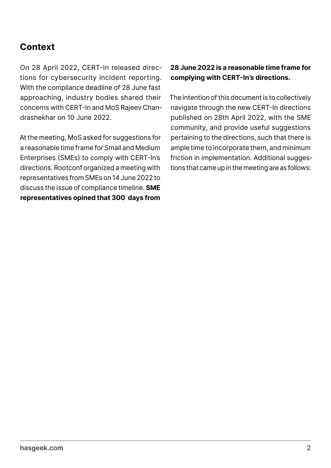## **Context**

On 28 April 2022, CERT-In released directions for cybersecurity incident reporting. With the compliance deadline of 28 June fast approaching, industry bodies shared their concerns with CERT-In and MoS Rajeev Chandrashekhar on 10 June 2022.

At the meeting, MoS asked for suggestions for a reasonable time frame for Small and Medium Enterprises (SMEs) to comply with CERT-In's directions. Rootconf organized a meeting with representatives from SMEs on 14 June 2022 to discuss the issue of compliance timeline. **SME representatives opined that 300 days from** 

#### **28 June 2022 is a reasonable time frame for complying with CERT-In's directions.**

The intention of this document is to collectively navigate through the new CERT-In directions published on 28th April 2022, with the SME community, and provide useful suggestions pertaining to the directions, such that there is ample time to incorporate them, and minimum friction in implementation. Additional suggestions that came up in the meeting are as follows: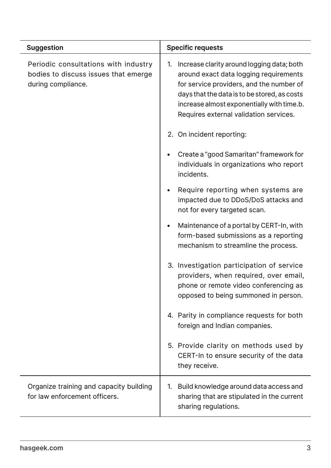| <b>Suggestion</b>                                                                                  | <b>Specific requests</b>                                                                                                                                                                                                                                                       |
|----------------------------------------------------------------------------------------------------|--------------------------------------------------------------------------------------------------------------------------------------------------------------------------------------------------------------------------------------------------------------------------------|
| Periodic consultations with industry<br>bodies to discuss issues that emerge<br>during compliance. | Increase clarity around logging data; both<br>1.<br>around exact data logging requirements<br>for service providers, and the number of<br>days that the data is to be stored, as costs<br>increase almost exponentially with time.b.<br>Requires external validation services. |
|                                                                                                    | 2. On incident reporting:                                                                                                                                                                                                                                                      |
|                                                                                                    | Create a "good Samaritan" framework for<br>individuals in organizations who report<br>incidents.                                                                                                                                                                               |
|                                                                                                    | Require reporting when systems are<br>impacted due to DDoS/DoS attacks and<br>not for every targeted scan.                                                                                                                                                                     |
|                                                                                                    | Maintenance of a portal by CERT-In, with<br>form-based submissions as a reporting<br>mechanism to streamline the process.                                                                                                                                                      |
|                                                                                                    | 3. Investigation participation of service<br>providers, when required, over email,<br>phone or remote video conferencing as<br>opposed to being summoned in person.                                                                                                            |
|                                                                                                    | 4. Parity in compliance requests for both<br>foreign and Indian companies.                                                                                                                                                                                                     |
|                                                                                                    | 5. Provide clarity on methods used by<br>CERT-In to ensure security of the data<br>they receive.                                                                                                                                                                               |
| Organize training and capacity building<br>for law enforcement officers.                           | Build knowledge around data access and<br>1.<br>sharing that are stipulated in the current<br>sharing regulations.                                                                                                                                                             |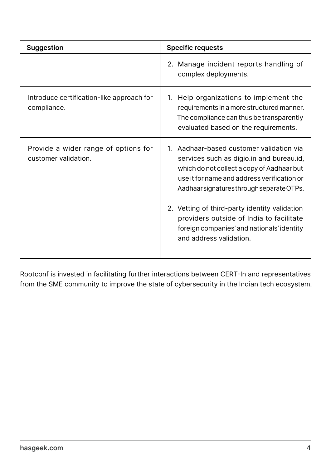| <b>Suggestion</b>                                            | <b>Specific requests</b>                                                                                                                                                                                                                                                                                                                                                                                     |
|--------------------------------------------------------------|--------------------------------------------------------------------------------------------------------------------------------------------------------------------------------------------------------------------------------------------------------------------------------------------------------------------------------------------------------------------------------------------------------------|
|                                                              | 2. Manage incident reports handling of<br>complex deployments.                                                                                                                                                                                                                                                                                                                                               |
| Introduce certification-like approach for<br>compliance.     | Help organizations to implement the<br>1.<br>requirements in a more structured manner.<br>The compliance can thus be transparently<br>evaluated based on the requirements.                                                                                                                                                                                                                                   |
| Provide a wider range of options for<br>customer validation. | Aadhaar-based customer validation via<br>$1_{-}$<br>services such as digio.in and bureau.id,<br>which do not collect a copy of Aadhaar but<br>use it for name and address verification or<br>Aadhaar signatures through separate OTPs.<br>2. Vetting of third-party identity validation<br>providers outside of India to facilitate<br>foreign companies' and nationals' identity<br>and address validation. |

Rootconf is invested in facilitating further interactions between CERT-In and representatives from the SME community to improve the state of cybersecurity in the Indian tech ecosystem.